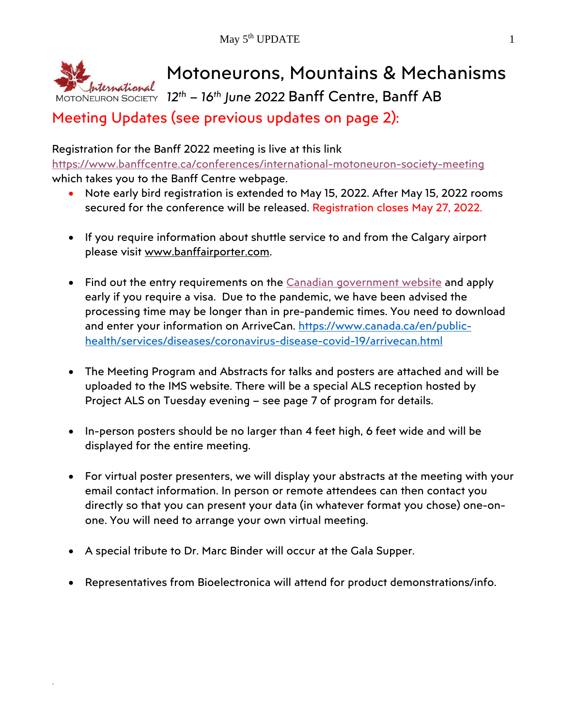

Meeting Updates (see previous updates on page 2):

Registration for the Banff 2022 meeting is live at this link <https://www.banffcentre.ca/conferences/international-motoneuron-society-meeting> which takes you to the Banff Centre webpage.

- Note early bird registration is extended to May 15, 2022. After May 15, 2022 rooms secured for the conference will be released. Registration closes May 27, 2022.
- If you require information about shuttle service to and from the Calgary airport please visit [www.banffairporter.com.](http://www.banffairporter.com/)
- Find out the entry requirements on the [Canadian government website](https://t.e2ma.net/click/uq9x9k/afvz9i/qj52zhb) and apply early if you require a visa. Due to the pandemic, we have been advised the processing time may be longer than in pre-pandemic times. You need to download and enter your information on ArriveCan. [https://www.canada.ca/en/public](https://www.canada.ca/en/public-health/services/diseases/coronavirus-disease-covid-19/arrivecan.html)[health/services/diseases/coronavirus-disease-covid-19/arrivecan.html](https://www.canada.ca/en/public-health/services/diseases/coronavirus-disease-covid-19/arrivecan.html)
- The Meeting Program and Abstracts for talks and posters are attached and will be uploaded to the IMS website. There will be a special ALS reception hosted by Project ALS on Tuesday evening – see page 7 of program for details.
- In-person posters should be no larger than 4 feet high, 6 feet wide and will be displayed for the entire meeting.
- For virtual poster presenters, we will display your abstracts at the meeting with your email contact information. In person or remote attendees can then contact you directly so that you can present your data (in whatever format you chose) one-onone. You will need to arrange your own virtual meeting.
- A special tribute to Dr. Marc Binder will occur at the Gala Supper.

.

• Representatives from Bioelectronica will attend for product demonstrations/info.